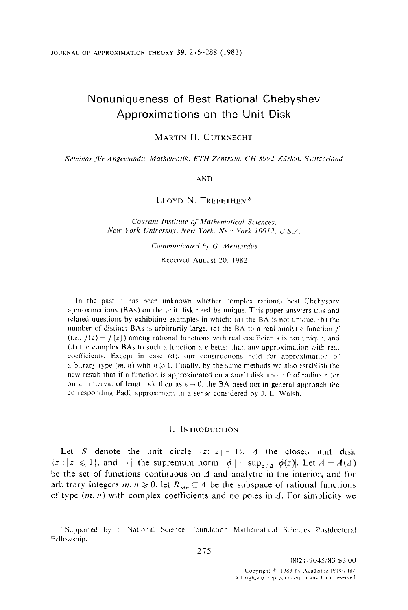# Nonuniqueness of Best Rational Chebyshev Approximations on the Unit Disk

MARTIN H. GUTKNECHT

Seminar für Angewandte Mathematik. ETH-Zentrum. CH-8092 Zürich. Switzerland

AND

LLOYD N. TREFETHEN\*

Courant Institute of Mathematical Sciences, New York University, New York, New York 10012, U.S.A.

Communicated by G. Meinardus

Received August 20. 1982

In the past it has been unknown whether complex rational best Chebyshev approximations (BAs) on the unit disk need be unique. This paper answers this and related questions by exhibiting examples in which: (a) the BA is not unique. (b) the number of distinct BAs is arbitrarily large. (c) the BA to a real analytic function  $f$ (i.e.,  $f(\bar{z}) = f(z)$ ) among rational functions with real coefficients is not unique, and (d) the complex BAs to such a function are better than any approximation with real coefficients. Except in case (d). our constructions hold for approximation of arbitrary type  $(m, n)$  with  $n \geqslant 1$ . Finally, by the same methods we also establish the new result that if a function is approximated on a small disk about 0 of radius  $\varepsilon$  (or on an interval of length  $\varepsilon$ ), then as  $\varepsilon \to 0$ , the BA need not in general approach the corresponding Pade approximant in a sense considered by J. L. Walsh.

### 1. INTRODUCTION

Let S denote the unit circle  $\{z: |z|=1\}$ ,  $\Delta$  the closed unit disk  ${z : |z| \leq 1}$ , and  $\|\cdot\|$  the supremum norm  $\|\phi\| = \sup_{z \in \Delta} |\phi(z)|$ . Let  $A = A(\Delta)$ be the set of functions continuous on  $\Delta$  and analytic in the interior, and for arbitrary integers  $m, n \geq 0$ , let  $R_{mn} \subseteq A$  be the subspace of rational functions of type  $(m, n)$  with complex coefficients and no poles in  $\Delta$ . For simplicity we

<sup>\*</sup> Supported by a National Science Foundation Mathematical Sciences Postdoctoral Fellowship.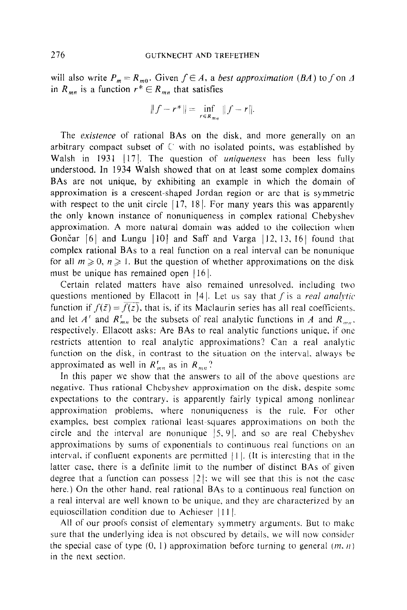will also write  $P_m = R_{m0}$ . Given  $f \in A$ , a best approximation (BA) to f on  $\Delta$ in  $R_{mn}$  is a function  $r^* \in R_{mn}$  that satisfies

$$
||f - r^*|| = \inf_{r \in R_{mn}} ||f - r||.
$$

The *existence* of rational BAs on the disk, and more generally on an arbitrary compact subset of  $\mathbb C$  with no isolated points, was established by Walsh in 1931 [17]. The question of uniqueness has been less fully understood. In 1934 Walsh showed that on at least some complex domains BAs are not unique, by exhibiting an example in which the domain of approximation is a crescent-shaped Jordan region or arc that is symmetric with respect to the unit circle  $\left[17, 18\right]$ . For many years this was apparently the only known instance of nonuniqueness in complex rational Chebyshev approximation. A more natural domain was added to the collection when Gončar  $\lceil 6 \rceil$  and Lungu  $\lceil 10 \rceil$  and Saff and Varga  $\lceil 12, 13, 16 \rceil$  found that complex rational BAs to a real function on a real interval can be nonunique for all  $m \ge 0$ ,  $n \ge 1$ . But the question of whether approximations on the disk must be unique has remained open  $|16|$ .

Certain related matters have also remained unresolved. including two questions mentioned by Ellacott in [4]. Let us say that f is a real analytic function if  $f(\bar{z}) = \bar{f(z)}$ , that is, if its Maclaurin series has all real coefficients. and let  $A^r$  and  $R_{mn}^r$  be the subsets of real analytic functions in A and  $R_{mn}$ . respectively. Ellacott asks: Are BAs to real analytic functions unique, if one restricts attention to real analytic approximations? Can a real analytic function on the disk. in contrast to the situation on the interval. always be approximated as well in  $R_{mn}^r$  as in  $R_{mn}$ ?

In this paper we show that the answers to all of the above questions arc negative. Thus rational Chebyshev approximation on the disk, despite some expectations to the contrary. is apparently fairly typical among nonlinear approximation problems, where nonuniqueness is the rule. For other examples. best complex rational least-squares approximations on both the circle and the interval are nonunique  $|5, 9|$ , and so are real Chebyshev approximations by sums of exponentials to continuous real functions on an interval, if confluent exponents are permitted  $|1|$ . (It is interesting that in the latter case, there is a definite limit to the number of distinct BAs of given degree that a function can possess  $|2|$ ; we will see that this is not the case here.) On the other hand, real rational BAs to a continuous real function on a real interval are well known to be unique, and they are characterized by an equioscillation condition due to Achieser  $|11|$ .

All of our proofs consist of elementary symmetry arguments. But to make sure that the underlying idea is not obscured by details. we will now consider the special case of type  $(0, 1)$  approximation before turning to general  $(m, n)$ in the next section.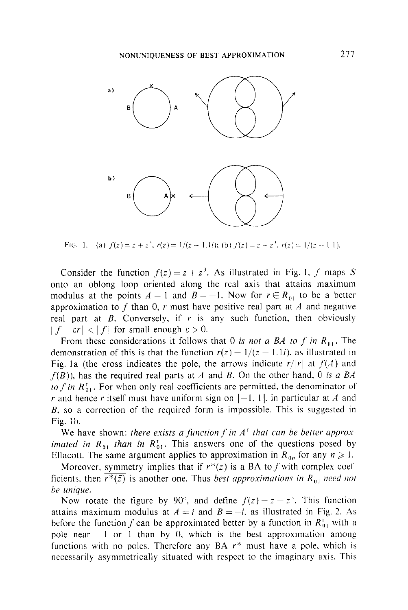

FIG. 1. (a)  $f(z)=z + z^3$ .  $r(z)= 1/(z - 1.1i)$ ; (b),  $f(z)=z + z^3$ .  $r(z) = 1/(z - 1.1)$ .

Consider the function  $f(z) = z + z<sup>3</sup>$ . As illustrated in Fig. 1, f maps S onto an oblong loop oriented along the real axis that attains maximum modulus at the points  $A = 1$  and  $B = -1$ . Now for  $r \in R_{01}$  to be a better approximation to f than 0, r must have positive real part at A and negative real part at  $B$ . Conversely, if  $r$  is any such function, then obviously  $|| f - \varepsilon r || < || f ||$  for small enough  $\varepsilon > 0$ .

From these considerations it follows that 0 is not a BA to f in  $R_{01}$ . The demonstration of this is that the function  $r(z) = 1/(z - 1.1i)$ , as illustrated in Fig. 1a (the cross indicates the pole, the arrows indicate  $r/|r|$  at  $f(A)$  and  $f(B)$ ), has the required real parts at A and B. On the other hand, 0 is a BA to f in  $R_{01}^r$ . For when only real coefficients are permitted, the denominator of r and hence r itself must have uniform sign on  $[-1, 1]$ , in particular at A and B, so a correction of the required form is impossible. This is suggested in Fig. lb.

We have shown: there exists a function f in  $A<sup>T</sup>$  that can be better approximated in  $R_{01}$  than in  $R_{01}^{\dagger}$ . This answers one of the questions posed by Ellacott. The same argument applies to approximation in  $R_{0n}$  for any  $n \geq 1$ .

Moreover, symmetry implies that if  $r^*(z)$  is a BA to f with complex coefficients, then  $\overline{r^*(\bar{z})}$  is another one. Thus best approximations in R<sub>01</sub> need not be unique.

Now rotate the figure by 90°, and define  $f(z) = z - z<sup>3</sup>$ . This function attains maximum modulus at  $A = i$  and  $B = -i$ , as illustrated in Fig. 2. As before the function f can be approximated better by a function in  $R_{01}^t$  with a pole near  $-1$  or 1 than by 0, which is the best approximation among functions with no poles. Therefore any BA  $r^*$  must have a pole, which is necessarily asymmetrically situated with respect to the imaginary axis. This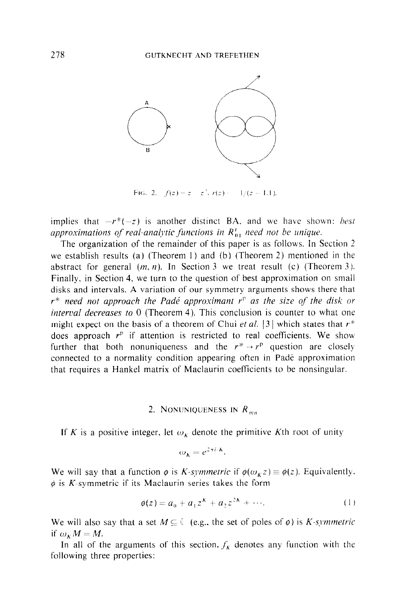

FIG. 2.  $f(z) = z - z^2$ ,  $r(z) = -1/(z - 1.1)$ .

implies that  $-r^*(-z)$  is another distinct BA, and we have shown: *hest* approximations of real-analytic functions in  $R_{01}^r$  need not be unique.

The organization of the remainder of this paper is as follows. In Section 2 we establish results (a) (Theorem I) and (b) (Theorem 2) mentioned in the abstract for general  $(m, n)$ . In Section 3 we treat result (c) (Theorem 3). Finally. in Section 4. we turn to the question of best approximation on small disks and intervals. A variation of our symmetry arguments shows there that  $r^*$  need not approach the Padé approximant  $r^v$  as the size of the disk or *interval decreases to*  $0$  (Theorem 4). This conclusion is counter to what one might expect on the basis of a theorem of Chui et al. [3] which states that  $r^*$ does approach  $r<sup>p</sup>$  if attention is restricted to real coefficients. We show further that both nonuniqueness and the  $r^* \rightarrow r^p$  question are closely connected to a normality condition appearing often in Padé approximation that requires a Hankel matrix of Maclaurin coefficients to be nonsingular.

## 2. NONUNIQUENESS IN  $R_{mn}$

If K is a positive integer, let  $\omega_K$  denote the primitive Kth root of unity

$$
\omega_{\kappa} = e^{2\pi i/k}.
$$

We will say that a function  $\phi$  is *K-symmetric* if  $\phi(\omega_k z) = \phi(z)$ . Equivalently.  $\phi$  is K-symmetric if its Maclaurin series takes the form

$$
\phi(z) = a_0 + a_1 z^k + a_2 z^{2k} + \cdots. \tag{1}
$$

We will also say that a set  $M \subseteq \{$  (e.g., the set of poles of  $\varphi$ ) is *K*-symmetric if  $\omega_k M = M$ .

In all of the arguments of this section,  $f_k$  denotes any function with the following three properties: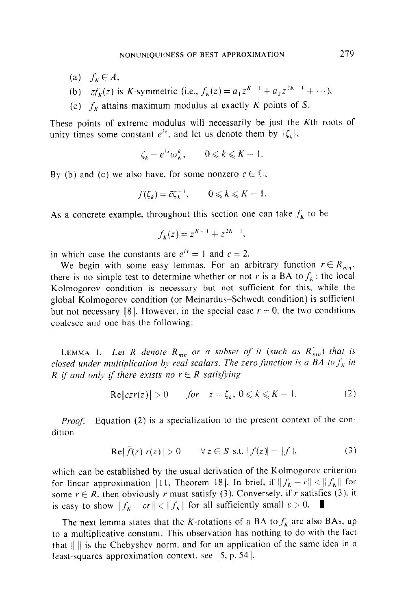- (a)  $f_k \in A$ ,
- (b)  $zf_k(z)$  is K-symmetric (i.e.,  $f_k(z) = a_1 z^{K-1} + a_2 z^{2K-1} + \cdots$ ).
- (c)  $f_k$  attains maximum modulus at exactly K points of S.

These points of extreme modulus will necessarily be just the Kth roots of unity times some constant  $e^{it}$ , and let us denote them by  $\{\zeta_k\}$ .

$$
\zeta_k = e^{i\tau} \omega_k^k, \qquad 0 \leqslant k \leqslant K - 1.
$$

By (b) and (c) we also have, for some nonzero  $c \in \mathbb{C}$ ,

$$
f(\zeta_k) = \bar{c}\zeta_k^{-1}, \qquad 0 \leqslant k \leqslant K - 1.
$$

As a concrete example, throughout this section one can take  $f_k$  to be

$$
f_K(z) = z^{K-1} + z^{2K-1},
$$

in which case the constants are  $e^{i\tau} = 1$  and  $c = 2$ .

We begin with some easy lemmas. For an arbitrary function  $r \in R_{mn}$ , there is no simple test to determine whether or not r is a BA to  $f_k$ : the local Kolmogorov condition is necessary but not sufficient for this, while the global Kolmogorov condition (or Meinardus-Schwedt condition) is sufficient but not necessary [8]. However, in the special case  $r = 0$ , the two conditions coalesce and one has the following:

LEMMA 1. Let R denote  $R_{mn}$  or a subset of it (such as  $R_{mn}^{\dagger}$ ) that is closed under multiplication by real scalars. The zero function is a BA to  $f_k$  in R if and only if there exists no  $r \in R$  satisfying

$$
\text{Re}\{|c z r(z)| > 0 \qquad \text{for} \quad z = \zeta_k, \ 0 \leqslant k \leqslant K - 1. \tag{2}
$$

**Proof.** Equation (2) is a specialization to the present context of the condition

Re
$$
|f(z) r(z)| > 0
$$
  $\forall z \in S \text{ s.t. } |f(z)| = ||f||,$  (3)

which can be established by the usual derivation of the Kolmogorov criterion for linear approximation [11, Theorem 18]. In brief, if  $||f_K - r|| < ||f_K||$  for some  $r \in R$ , then obviously r must satisfy (3). Conversely, if r satisfies (3), it is easy to show  $||f_k - \varepsilon r|| < ||f_k||$  for all sufficiently small  $\varepsilon > 0$ .

The next lemma states that the K-rotations of a BA to  $f_k$  are also BAs, up to a multiplicative constant. This observation has nothing to do with the fact that  $|| \cdot ||$  is the Chebyshev norm, and for an application of the same idea in a least-squares approximation context, see  $[5, p. 54]$ .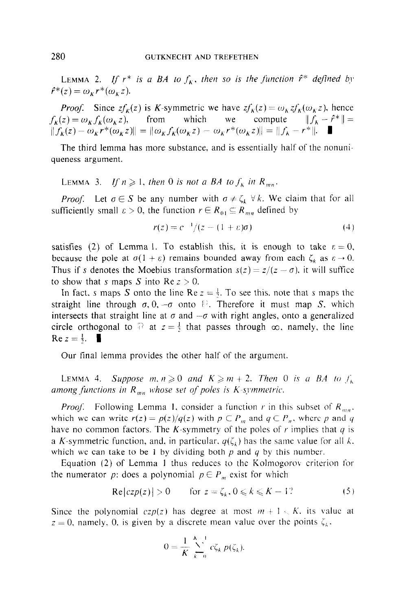LEMMA 2. If  $r^*$  is a BA to  $f_k$ , then so is the function  $\hat{r}^*$  defined by  $\hat{r}^*(z) = \omega_{\kappa} r^*(\omega_{\kappa} z).$ 

*Proof.* Since  $zf_k(z)$  is K-symmetric we have  $zf_k(z) = \omega_k z f_k(\omega_k z)$ , hence  $f_K(z) = \omega_K f_K(\omega_K z)$ , from which we compute  $||f_K - \hat{f}^*|| =$  $||f_K(z) - \omega_K r^*(\omega_K z)|| = ||\omega_K f_K(\omega_K z) - \omega_K r^*(\omega_K z)|| = ||f_K - r^*||.$ 

The third lemma has more substance, and is essentially half of the nonuniqueness argument.

LEMMA 3. If  $n \geq 1$ , then 0 is not a BA to  $f_k$  in  $R_{mn}$ .

*Proof.* Let  $\sigma \in S$  be any number with  $\sigma \neq \zeta_k$ . We claim that for all sufficiently small  $\varepsilon > 0$ , the function  $r \in R_{01} \subseteq R_{mn}$  defined by

$$
r(z) = c^{-1}/(z - (1 + \varepsilon)\sigma)
$$
 (4)

satisfies (2) of Lemma 1. To establish this, it is enough to take  $\varepsilon = 0$ , because the pole at  $\sigma(1 + \varepsilon)$  remains bounded away from each  $\zeta_k$  as  $\varepsilon \to 0$ . Thus if s denotes the Moebius transformation  $s(z) = z/(z - \sigma)$ , it will suffice to show that s maps S into Re  $z > 0$ .

In fact, s maps S onto the line Re  $z = \frac{1}{2}$ . To see this, note that s maps the straight line through  $\sigma$ , 0,  $-\sigma$  onto  $\mathbb{R}$ . Therefore it must map S, which intersects that straight line at  $\sigma$  and  $-\sigma$  with right angles, onto a generalized circle orthogonal to  $\sqrt{12}$  at  $z = \frac{1}{2}$  that passes through  $\infty$ , namely, the line  $\text{Re } z = \frac{1}{2}$ .

Our final lemma provides the other half of the argument.

LEMMA 4. Suppose  $m, n \geq 0$  and  $K \geq m + 2$ . Then 0 is a BA to  $f_k$ among functions in  $R_{mn}$  whose set of poles is K-symmetric.

*Proof.* Following Lemma 1, consider a function r in this subset of  $R_{mn}$ . which we can write  $r(z) = p(z)/q(z)$  with  $p \in P_m$ , and  $q \in P_n$ , where p and q have no common factors. The K-symmetry of the poles of r implies that  $q$  is a K-symmetric function, and, in particular,  $q(\zeta_i)$  has the same value for all k. which we can take to be 1 by dividing both  $p$  and  $q$  by this number.

Equation (2) of Lemma I thus reduces to the Kolmogorov criterion for the numerator p: does a polynomial  $p \in P_m$  exist for which

$$
Re[czp(z)] > 0 \qquad \text{for } z = \zeta_k, 0 \leq k \leq K - 1?
$$
 (5)

Since the polynomial  $czp(z)$  has degree at most  $m+1 \leq K$ , its value at  $z = 0$ , namely, 0, is given by a discrete mean value over the points  $\zeta_k$ .

$$
0 = \frac{1}{K} \sum_{k=0}^{K-1} c \zeta_k p(\zeta_k).
$$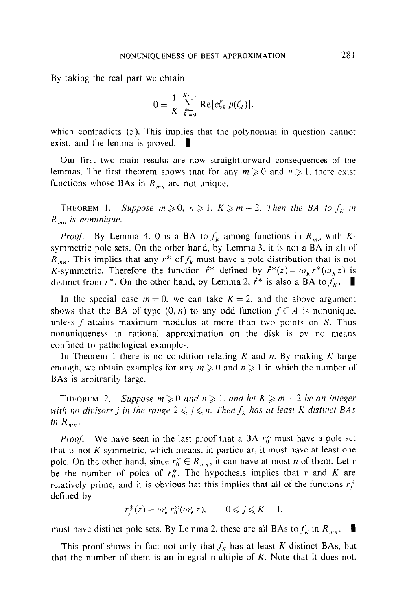By taking the real part we obtain

$$
0=\frac{1}{K}\sum_{k=0}^{K-1}\text{Re}[c\zeta_k p(\zeta_k)],
$$

which contradicts (5). This implies that the polynomial in question cannot exist, and the lemma is proved.  $\|\cdot\|$ 

Our first two main results are now straightforward consequences of the lemmas. The first theorem shows that for any  $m \ge 0$  and  $n \ge 1$ , there exist functions whose BAs in  $R_{mn}$  are not unique.

THEOREM 1. Suppose  $m \geq 0$ ,  $n \geq 1$ ,  $K \geq m+2$ . Then the BA to  $f_k$  in  $R_{mn}$  is nonunique.

*Proof.* By Lemma 4, 0 is a BA to  $f_k$  among functions in  $R_{mn}$  with  $K$ symmetric pole sets. On the other hand, by Lemma 3, it is not a BA in all of  $R_{mn}$ . This implies that any  $r^*$  of  $f_k$  must have a pole distribution that is not K-symmetric. Therefore the function  $\hat{r}^*$  defined by  $\hat{r}^*(z) = \omega_K r^*(\omega_K z)$  is distinct from  $r^*$ . On the other hand, by Lemma 2,  $\hat{r}^*$  is also a BA to  $f_k$ .

In the special case  $m = 0$ , we can take  $K = 2$ , and the above argument shows that the BA of type  $(0, n)$  to any odd function  $f \in A$  is nonunique. unless  $f$  attains maximum modulus at more than two points on  $S$ . Thus nonuniqueness in rational approximation on the disk is by no means confined to pathological examples.

In Theorem 1 there is no condition relating  $K$  and  $n$ . By making  $K$  large enough, we obtain examples for any  $m \ge 0$  and  $n \ge 1$  in which the number of BAs is arbitrarily large.

THEOREM 2. Suppose  $m \geqslant 0$  and  $n \geqslant 1$ , and let  $K \geqslant m+2$  be an integer with no divisors j in the range  $2 \leq j \leq n$ . Then  $f_K$  has at least K distinct BAs in  $R_{mn}$ .

*Proof.* We have seen in the last proof that a BA  $r_0^*$  must have a pole set that is not  $K$ -symmetric, which means, in particular, it must have at least one pole. On the other hand, since  $r_0^* \in R_{mn}$ , it can have at most *n* of them. Let *v* be the number of poles of  $r_0^*$ . The hypothesis implies that v and K are relatively prime, and it is obvious hat this implies that all of the funcions  $r_i^*$ defined by

$$
r_i^*(z) = \omega_K^j r_0^*(\omega_K^j z), \qquad 0 \leqslant j \leqslant K - 1,
$$

must have distinct pole sets. By Lemma 2, these are all BAs to  $f_k$  in  $R_{mn}$ .

This proof shows in fact not only that  $f_k$  has at least K distinct BAs, but that the number of them is an integral multiple of  $K$ . Note that it does not.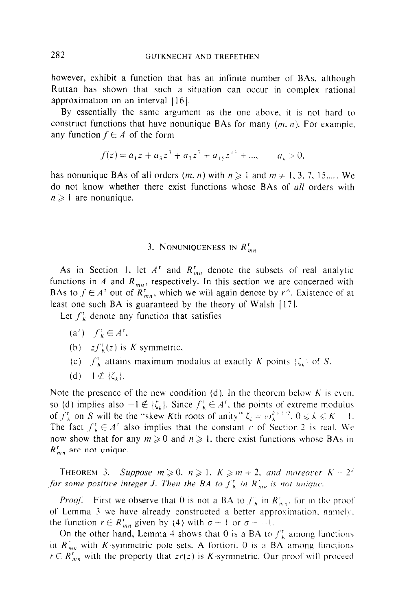however. exhibit a function that has an infinite number of BAs, although Ruttan has shown that such a situation can occur in complex rational approximation on an interval  $|16|$ .

By essentially the same argument as the one above. it is not hard to construct functions that have nonunique BAs for many  $(m, n)$ . For example, any function  $f \in A$  of the form

$$
f(z) = a_1 z + a_3 z^3 + a_7 z^7 + a_{15} z^{15} + \dots, \qquad a_k > 0,
$$

has nonunique BAs of all orders  $(m, n)$  with  $n \geq 1$  and  $m \neq 1, 3, 7, 15,...$  We do not know whether there exist functions whose BAs of all orders with  $n \geqslant 1$  are nonunique.

## 3. NONUNIQUENESS IN  $R_{mn}^r$

As in Section 1, let  $A^r$  and  $R_{mn}^r$  denote the subsets of real analytic functions in A and  $R_{mn}$ , respectively. In this section we are concerned with BAs to  $f \in A^r$  out of  $R^r_{mn}$ , which we will again denote by  $r^*$ . Existence of at least one such BA is guaranteed by the theory of Walsh  $[17]$ .

Let  $f_K^{\dagger}$  denote any function that satisfies

- $(a')$   $f'_{k} \in A^{r}$ ,
- (b)  $zf_K^r(z)$  is K-symmetric.
- (c)  $f_{\mathbf{A}}^{\dagger}$  attains maximum modulus at exactly K points  $\{\zeta_k\}$  of S.
- (d)  $1 \notin \{\zeta_k\}.$

Note the presence of the new condition (d). In the theorem below  $K$  is even. so (d) implies also  $-1 \notin \{\zeta_k\}$ . Since  $f_k^r \in A^r$ , the points of extreme modulus of  $f_K^r$  on S will be the "skew Kth roots of unity"  $\zeta_k = \omega_k^{k+1/2}$ ,  $0 \le k \le K-1$ . The fact  $f_K^r \in A^r$  also implies that the constant c of Section 2 is real. We now show that for any  $m \ge 0$  and  $n \ge 1$ , there exist functions whose BAs in  $R_{mn}^{r}$  are not unique.

**THEOREM 3.** Suppose  $m \ge 0$ ,  $n \ge 1$ ,  $K \ge m + 2$ , and moreover  $K = 2^3$ for some positive integer J. Then the BA to  $f_{\lambda}^{\dagger}$  in  $R_{mn}^{\dagger}$  is not unique.

*Proof.* First we observe that 0 is not a BA to  $f_{\kappa}^{\dagger}$  in  $R_{mn}^{\dagger}$ , for in the proof of Lemma 3 we have already constructed a better approximation, namely, the function  $r \in R_{mn}^r$  given by (4) with  $\sigma = 1$  or  $\sigma = -1$ .

On the other hand, Lemma 4 shows that 0 is a BA to  $f_{\kappa}^{\dagger}$  among functions in  $R_{mn}^r$  with K-symmetric pole sets. A fortiori. 0 is a BA among functions  $r \in R^r_{mn}$  with the property that  $zr(z)$  is K-symmetric. Our proof will proceed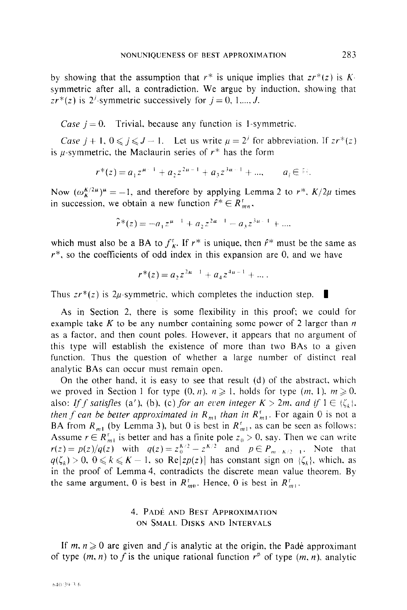by showing that the assumption that  $r^*$  is unique implies that  $z r^*(z)$  is Ksymmetric after all, a contradiction. We argue by induction. showing that  $zr^{*}(z)$  is 2<sup>*j*</sup>-symmetric successively for  $j = 0, 1,..., J$ .

Case  $j = 0$ . Trivial, because any function is 1-symmetric.

Case  $j + 1, 0 \leq j \leq J - 1$ . Let us write  $\mu = 2^j$  for abbreviation. If  $z r^*(z)$ is  $\mu$ -symmetric, the Maclaurin series of  $r^*$  has the form

$$
r^*(z) = a_1 z^{u-1} + a_2 z^{2u-1} + a_3 z^{3u-1} + \dots, \qquad a_i \in \mathbb{R}.
$$

Now  $(\omega_k^{K/2\mu})^{\mu} = -1$ , and therefore by applying Lemma 2 to  $r^*$ ,  $K/2\mu$  times in succession, we obtain a new function  $\hat{r}^* \in R_{mn}^{\tau}$ ,

$$
\hat{r}^*(z) = -a_1 z^{\mu-1} + a_2 z^{2\mu-1} - a_3 z^{3\mu-1} + \dots
$$

which must also be a BA to  $f_{\kappa}^{\tau}$ . If  $r^*$  is unique, then  $\hat{r}^*$  must be the same as  $r^*$ , so the coefficients of odd index in this expansion are 0, and we have

$$
r^*(z) = a_2 z^{2u-1} + a_4 z^{4u-1} + \dots
$$

Thus  $z r^{*}(z)$  is 2*u*-symmetric, which completes the induction step.

As in Section 2, there is some flexibility in this proof; we could for example take K to be any number containing some power of 2 larger than  $n$ as a factor. and then count poles. However. it appears that no argument of this type will establish the existence of more than two BAs to a given function. Thus the question of whether a large number of distinct real analytic BAs can occur must remain open.

On the other hand, it is easy to see that result (d) of the abstract, which we proved in Section 1 for type  $(0, n)$ ,  $n \ge 1$ , holds for type  $(m, 1)$ ,  $m \ge 0$ . also: If f satisfies (a'), (b), (c) for an even integer  $K > 2m$ , and if  $1 \in {\zeta_k}$ . then f can be better approximated in  $R_{m1}$  than in  $R_{m1}^{c}$ . For again 0 is not a BA from  $R_{m1}$  (by Lemma 3), but 0 is best in  $R_{m1}^r$ , as can be seen as follows: Assume  $r \in R_{m_1}^r$  is better and has a finite pole  $z_0 > 0$ , say. Then we can write  $r(z) = p(z)/q(z)$  with  $q(z) = z_0^{K/2} - z^{K/2}$  and  $p \in P_{m-K/2-1}$ . Note that  $q(\zeta_k) > 0$ ,  $0 \le k \le K - 1$ , so Re[zp(z)] has constant sign on  $\{\zeta_k\}$ , which, as in the proof of Lemma 4, contradicts the discrete mean value theorem. By the same argument, 0 is best in  $R_{m0}^r$ . Hence, 0 is best in  $R_{m1}^r$ .

# 4. PADÉ AND BEST APPROXIMATION ON SMALL DISKS AND INTERVALS

If  $m, n \geq 0$  are given and f is analytic at the origin, the Padé approximant of type  $(m, n)$  to f is the unique rational function  $r<sup>p</sup>$  of type  $(m, n)$ , analytic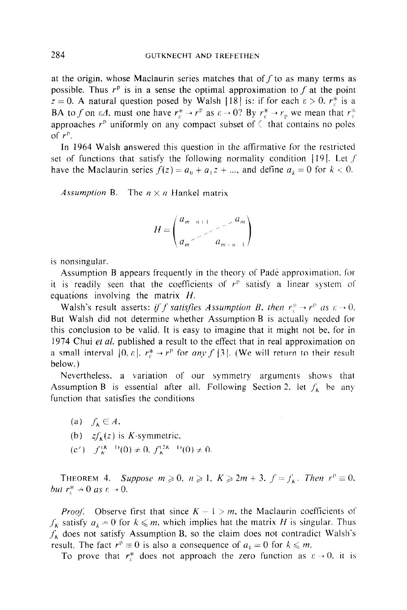at the origin, whose Maclaurin series matches that of  $f$  to as many terms as possible. Thus  $r<sup>p</sup>$  is in a sense the optimal approximation to f at the point  $z = 0$ . A natural question posed by Walsh |18| is: if for each  $\varepsilon > 0$ .  $r_{\varepsilon}^{*}$  is a BA to f on  $\varepsilon A$ , must one have  $r_c^* \to r_p$  as  $\varepsilon \to 0$ ? By  $r_c^* \to r_p$ , we mean that  $r_c^*$ approaches  $r<sup>p</sup>$  uniformly on any compact subset of  $\Diamond$  that contains no poles of  $r^p$ .

In 1964 Walsh answered this question in the afftrmative for the restricted set of functions that satisfy the following normality condition  $|19|$ . Let f have the Maclaurin series  $f(z) = a_0 + a_1 z + ...$ , and define  $a_k = 0$  for  $k < 0$ .

Assumption B. The  $n \times n$  Hankel matrix

$$
H = \begin{pmatrix} a_{m-n+1} & a_m \\ a_m & a_{m+n-1} \end{pmatrix}
$$

is nonsingular.

Assumption B appears frequently in the theory of Padé approximation, for it is readily seen that the coefficients of  $r^p$  satisfy a linear system of equations involving the matrix  $H$ .

Walsh's result asserts: if f satisfies Assumption B, then  $r_i^* \rightarrow r_i^*$  as  $\varepsilon \rightarrow 0$ . But Walsh did not determine whether Assumption B is actually needed for this conclusion to be valid. It is easy to imagine that it might not be, for in 1974 Chui et al. published a result to the effect that in real approximation on a small interval  $[0, \varepsilon]$ ,  $r_r^* \rightarrow r^p$  for any f  $[3]$ . (We will return to their result below.)

Nevertheless, a variation of our symmetry arguments shows that Assumption B is essential after all. Following Section 2, let  $f_k$  be any function that satisfies the conditions

- (a)  $f_k \in A$ ,
- (b)  $zf_k(z)$  is K-symmetric.
- $(c')$   $f_{\kappa}^{(K-1)}(0) \neq 0$ ,  $f_{\kappa}^{(2K-1)}(0) \neq 0$ .

THEOREM 4. Suppose  $m \ge 0$ ,  $n \ge 1$ ,  $K \ge 2m + 3$ ,  $f = f_K$ . Then  $r^p \equiv 0$ , but  $r_r^* \rightarrow 0$  as  $\varepsilon \rightarrow 0$ .

*Proof.* Observe first that since  $K - 1 > m$ , the Maclaurin coefficients of  $f_k$  satisfy  $a_k = 0$  for  $k \leq m$ , which implies hat the matrix H is singular. Thus  $f_k$  does not satisfy Assumption B, so the claim does not contradict Walsh's result. The fact  $r^p \equiv 0$  is also a consequence of  $a_k = 0$  for  $k \le m$ .

To prove that  $r_{\varepsilon}^*$  does not approach the zero function as  $\varepsilon \to 0$ , it is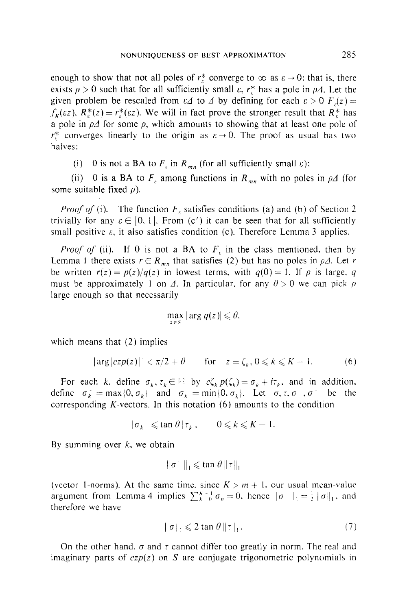enough to show that not all poles of  $r_{\epsilon}^{*}$  converge to  $\infty$  as  $\epsilon \to 0$ : that is, there exists  $\rho > 0$  such that for all sufficiently small  $\varepsilon$ ,  $r_f^*$  has a pole in  $\rho A$ . Let the given problem be rescaled from  $\epsilon \Delta$  to  $\Delta$  by defining for each  $\epsilon > 0$   $F(x) =$  $f_k(\varepsilon z)$ ,  $R_{\varepsilon}^*(z) = r_{\varepsilon}^*(\varepsilon z)$ . We will in fact prove the stronger result that  $R_{\varepsilon}^*$  has a pole in  $\rho\Delta$  for some  $\rho$ , which amounts to showing that at least one pole of  $r_{\varepsilon}^{*}$  converges linearly to the origin as  $\varepsilon \to 0$ . The proof as usual has two halves:

(i) 0 is not a BA to  $F_{\varepsilon}$  in  $R_{mn}$  (for all sufficiently small  $\varepsilon$ ):

(ii) 0 is a BA to  $F<sub>g</sub>$  among functions in  $R<sub>mn</sub>$  with no poles in  $\rho\Delta$  (for some suitable fixed  $\rho$ ).

*Proof of* (i). The function  $F<sub>f</sub>$  satisfies conditions (a) and (b) of Section 2 trivially for any  $\varepsilon \in [0, 1]$ . From (c') it can be seen that for all sufficiently small positive  $\varepsilon$ , it also satisfies condition (c). Therefore Lemma 3 applies.

*Proof of* (ii). If 0 is not a BA to  $F<sub>\epsilon</sub>$  in the class mentioned, then by Lemma 1 there exists  $r \in R_{mn}$  that satisfies (2) but has no poles in  $\rho A$ . Let r be written  $r(z) = p(z)/q(z)$  in lowest terms, with  $q(0) = 1$ . If  $\rho$  is large, q must be approximately 1 on  $\Delta$ . In particular, for any  $\theta > 0$  we can pick  $\rho$ large enough so that necessarily

$$
\max_{z \in S} |\arg q(z)| \leq \theta,
$$

which means that  $(2)$  implies

$$
|\arg(czp(z))| < \pi/2 + \theta \quad \text{for} \quad z = \zeta_k, 0 \leq k \leq K - 1. \tag{6}
$$

For each k, define  $\sigma_k, \tau_k \in \mathbb{R}$  by  $c \zeta_k p(\zeta_k) = \sigma_k + i \tau_k$ , and in addition. define  $\sigma_k^+ = \max\{0, \sigma_k\}$  and  $\sigma_k = \min\{0, \sigma_k\}$ . Let  $\sigma, \tau, \sigma, \sigma^+$  be the corresponding  $K$ -vectors. In this notation  $(6)$  amounts to the condition

$$
|\sigma_k| \leqslant \tan \theta |\tau_k|, \qquad 0 \leqslant k \leqslant K - 1.
$$

By summing over  $k$ , we obtain

$$
\|\sigma^-\|_1 \leqslant \tan \theta \|\tau\|_1
$$

(vector 1-norms). At the same time, since  $K > m + 1$ , our usual mean-value argument from Lemma 4 implies  $\sum_{k=0}^{K-1} \sigma_n = 0$ , hence  $\|\sigma^+\|_1 = \frac{1}{2}\|\sigma\|_1$ , and therefore we have

$$
\|\sigma\|_{1} \leqslant 2 \tan \theta \, \|\tau\|_{1}.\tag{7}
$$

On the other hand,  $\sigma$  and  $\tau$  cannot differ too greatly in norm. The real and imaginary parts of  $czp(z)$  on S are conjugate trigonometric polynomials in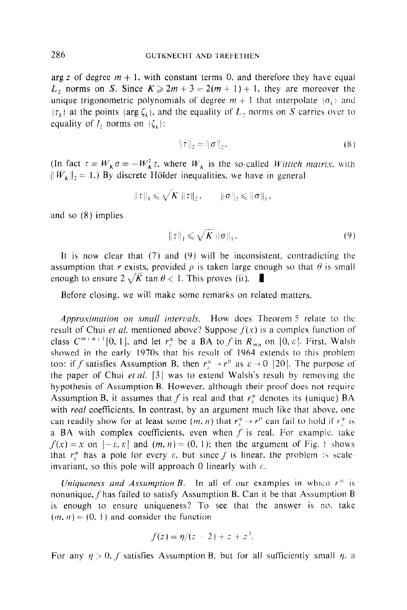arg z of degree  $m + 1$ , with constant terms 0, and therefore they have equal L, norms on S. Since  $K \ge 2m + 3 = 2(m + 1) + 1$ , they are moreover the unique trigonometric polynomials of degree  $m + 1$  that interpolate  $\{\sigma_k\}$  and  $\{\tau_k\}$  at the points  $\{\arg \zeta_k\}$ , and the equality of  $L_2$  norms on S carries over to equality of  $I_2$  norms on  $\{\zeta_k\}$ :

$$
\|\tau\|_2 = \|\sigma\|_2. \tag{8}
$$

(In fact  $\tau = W_{\kappa} \sigma = -W_{\kappa}^2 \tau$ , where  $W_{\kappa}$  is the so-called *Wittich matrix*, with  $||W_{\kappa}||_2 = 1$ .) By discrete Hölder inequalities, we have in general

$$
\|\tau\|_1 \leqslant \sqrt{K} \|\tau\|_2, \qquad \|\sigma\|_2 \leqslant \|\sigma\|_1.
$$

and so (8) implies

$$
\|\tau\|_1 \leqslant \sqrt{K} \|\sigma\|_1. \tag{9}
$$

It is now clear that  $(7)$  and  $(9)$  will be inconsistent, contradicting the assumption that r exists, provided  $\rho$  is taken large enough so that  $\theta$  is small enough to ensure  $2\sqrt{K}$  tan  $\theta < 1$ . This proves (ii).

Before closing, we will make some remarks on related matters.

Approximation on small intervals. How does Theorem 5 relate to the result of Chui et al. mentioned above? Suppose  $f(x)$  is a complex function of class  $C^{m+n+1}[0, 1]$ , and let  $r_{\varepsilon}^*$  be a BA to f in  $R_{mn}$  on  $[0, \varepsilon]$ . First, Walsh showed in the early 1970s that his result of 1964 extends to this problem too: if f satisfies Assumption B, then  $r_r^* \rightarrow r_p$  as  $\varepsilon \rightarrow 0$  [20]. The purpose of the paper of Chui et al.  $|3|$  was to extend Walsh's result by removing the hypothesis of Assumption B. However, although their proof does not require Assumption B, it assumes that f is real and that  $r_r^*$  denotes its (unique) BA with *real* coefficients. In contrast, by an argument much like that above, one can readily show for at least some  $(m, n)$  that  $r^* \to r^p$  can fail to hold if  $r^*$  is a BA with complex coefficients, even when  $f$  is real. For example, take  $f(x) = x$  on  $[-\varepsilon, \varepsilon]$  and  $(m, n) = (0, 1)$ ; then the argument of Fig. ! shows that  $r_{\varepsilon}^*$  has a pole for every  $\varepsilon$ , but since f is linear, the problem is scaleinvariant, so this pole will approach 0 linearly with  $\varepsilon$ .

Uniqueness and Assumption B. In all of our examples in which  $r^*$  is nonunique,  $f$  has failed to satisfy Assumption B. Can it be that Assumption B is enough to ensure uniqueness? To see that the answer is no. take  $(m, n) = (0, 1)$  and consider the function

$$
f(z) = \eta/(z - 2) + z + z^3.
$$

For any  $\eta > 0$ , f satisfies Assumption B, but for all sufficiently small  $\eta$ , a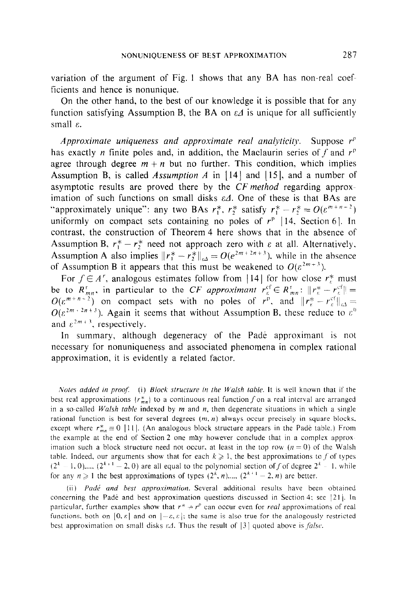variation of the argument of Fig. 1 shows that any BA has non-real coefficients and hence is nonunique.

On the other hand, to the best of our knowledge it is possible that for any function satisfying Assumption B, the BA on  $\varepsilon A$  is unique for all sufficiently small  $\varepsilon$ .

Approximate uniqueness and approximate real analyticity. Suppose  $r<sup>p</sup>$ has exactly *n* finite poles and, in addition, the Maclaurin series of f and  $r<sup>p</sup>$ agree through degree  $m + n$  but no further. This condition, which implies Assumption B, is called Assumption A in  $[14]$  and  $[15]$ , and a number of asymptotic results are proved there by the CF method regarding approximation of such functions on small disks  $\varepsilon \Delta$ . One of these is that BAs are "approximately unique": any two BAs  $r_1^*$ ,  $r_2^*$  satisfy  $r_1^* - r_2^* = O(\varepsilon^{m+n-2})$ uniformly on compact sets containing no poles of  $r^p$  [14. Section 6]. In contrast, the construction of Theorem 4 here shows that in the absence of Assumption B,  $r_1^* - r_2^*$  need not approach zero with  $\varepsilon$  at all. Alternatively, Assumption A also implies  $||r_1^* - r_2^*||_{\epsilon_4} = O(e^{2m+2n+3})$ , while in the absence of Assumption B it appears that this must be weakened to  $O(\varepsilon^{2m+3})$ .

For  $f \in A^r$ , analogous estimates follow from [14] for how close  $r^*$  must be to  $R_{mn}^r$ , in particular to the CF approximant  $r_c^{\text{ct}} \in R_{mn}^r$ ;  $||r_c^* - r_c^{\text{ct}}|| = O(\varepsilon^{m+n+2})$  on compact sets with no poles of  $r_{\text{c}}^p$ , and  $||r_c^* - r_c^{\text{ct}}||_{\infty} =$  $O(\varepsilon^{2m+2n+3})$ . Again it seems that without Assumption B, these reduce to  $\varepsilon^{0}$ and  $\varepsilon^{2m+3}$ , respectively.

In summary, although degeneracy of the Padé approximant is not necessary for nonuniqueness and associated phenomena in complex rational approximation, it is evidently a related factor.

Notes added in proof. (i) Block structure in the Walsh table. It is well known that if the best real approximations  ${r_{mn}^*}$  to a continuous real function f on a real interval are arranged in a so-called *Walsh table* indexed by  $m$  and  $n$ , then degenerate situations in which a single rational function is best for several degrees  $(m, n)$  always occur precisely in square blocks, except where  $r_{mn}^* \equiv 0$  [11]. (An analogous block structure appears in the Padé table.) From the example at the end of Section 2 one may however conclude that in a complex approx imation such a block structure need not occur. at least in the top row  $(n = 0)$  of the Walsh table. Indeed, our arguments show that for each  $k \geq 1$ , the best approximations to f of types  $(2<sup>k</sup> - 1, 0)$ .....  $(2<sup>k+1</sup> - 2, 0)$  are all equal to the polynomial section of f of degree  $2<sup>k</sup> - 1$ , while for any  $n \ge 1$  the best approximations of types  $(2^k, n)$ ....,  $(2^{k+1} - 2, n)$  are better.

(ii) Padé and best approximation. Several additional results have been obtained concerning the Pade and best approximation questions discussed in Section 4: see  $|21|$ . In particular, further examples show that  $r^* \rightarrow r^p$  can occur even for *real* approximations of real functions, both on  $[0, \varepsilon]$  and on  $[-\varepsilon, \varepsilon]$ ; the same is also true for the analogously restricted best approximation on small disks  $\varepsilon$  1. Thus the result of  $|3|$  quoted above is *false*.